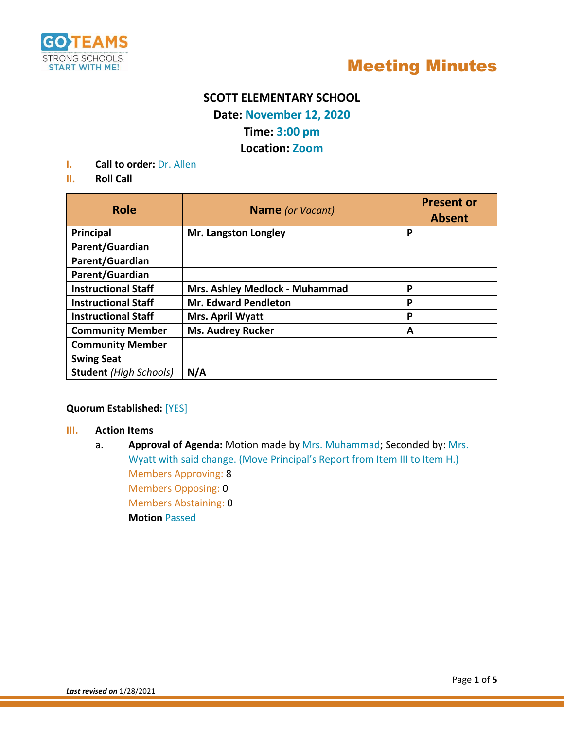



### **SCOTT ELEMENTARY SCHOOL**

**Date: November 12, 2020**

### **Time: 3:00 pm**

### **Location: Zoom**

- **I. Call to order:** Dr. Allen
- **II. Roll Call**

| <b>Role</b>                   | <b>Name</b> (or Vacant)        | <b>Present or</b><br><b>Absent</b> |
|-------------------------------|--------------------------------|------------------------------------|
| Principal                     | Mr. Langston Longley           | P                                  |
| Parent/Guardian               |                                |                                    |
| Parent/Guardian               |                                |                                    |
| Parent/Guardian               |                                |                                    |
| <b>Instructional Staff</b>    | Mrs. Ashley Medlock - Muhammad | P                                  |
| <b>Instructional Staff</b>    | <b>Mr. Edward Pendleton</b>    | P                                  |
| <b>Instructional Staff</b>    | Mrs. April Wyatt               | P                                  |
| <b>Community Member</b>       | <b>Ms. Audrey Rucker</b>       | А                                  |
| <b>Community Member</b>       |                                |                                    |
| <b>Swing Seat</b>             |                                |                                    |
| <b>Student</b> (High Schools) | N/A                            |                                    |

**Quorum Established:** [YES]

- **III. Action Items**
	- a. **Approval of Agenda:** Motion made by Mrs. Muhammad; Seconded by: Mrs. Wyatt with said change. (Move Principal's Report from Item III to Item H.) Members Approving: 8 Members Opposing: 0 Members Abstaining: 0 **Motion** Passed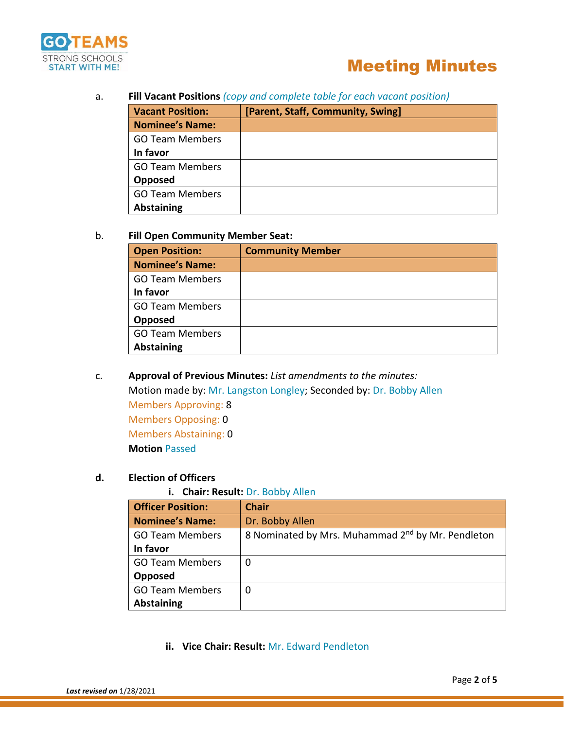

#### a. **Fill Vacant Positions** *(copy and complete table for each vacant position)*

| <b>Vacant Position:</b> | [Parent, Staff, Community, Swing] |  |
|-------------------------|-----------------------------------|--|
| <b>Nominee's Name:</b>  |                                   |  |
| <b>GO Team Members</b>  |                                   |  |
| In favor                |                                   |  |
| <b>GO Team Members</b>  |                                   |  |
| Opposed                 |                                   |  |
| <b>GO Team Members</b>  |                                   |  |
| <b>Abstaining</b>       |                                   |  |

#### b. **Fill Open Community Member Seat:**

| <b>Open Position:</b>  | <b>Community Member</b> |
|------------------------|-------------------------|
| <b>Nominee's Name:</b> |                         |
| <b>GO Team Members</b> |                         |
| In favor               |                         |
| <b>GO Team Members</b> |                         |
| Opposed                |                         |
| <b>GO Team Members</b> |                         |
| <b>Abstaining</b>      |                         |

c. **Approval of Previous Minutes:** *List amendments to the minutes:* Motion made by: Mr. Langston Longley; Seconded by: Dr. Bobby Allen Members Approving: 8 Members Opposing: 0 Members Abstaining: 0 **Motion** Passed

#### **d. Election of Officers**

#### **i. Chair: Result:** Dr. Bobby Allen

| <b>Officer Position:</b> | <b>Chair</b>                                                  |
|--------------------------|---------------------------------------------------------------|
| <b>Nominee's Name:</b>   | Dr. Bobby Allen                                               |
| <b>GO Team Members</b>   | 8 Nominated by Mrs. Muhammad 2 <sup>nd</sup> by Mr. Pendleton |
| In favor                 |                                                               |
| <b>GO Team Members</b>   | 0                                                             |
| Opposed                  |                                                               |
| <b>GO Team Members</b>   | 0                                                             |
| <b>Abstaining</b>        |                                                               |

**ii. Vice Chair: Result:** Mr. Edward Pendleton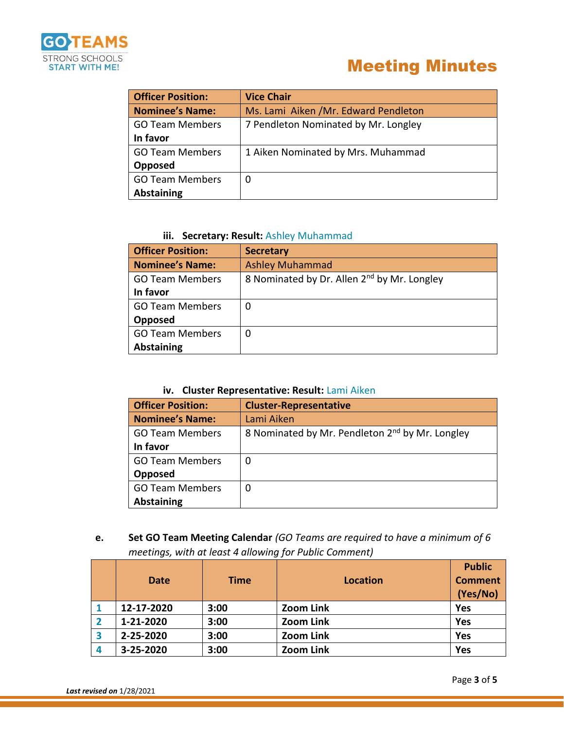

| <b>Officer Position:</b> | <b>Vice Chair</b>                    |
|--------------------------|--------------------------------------|
| <b>Nominee's Name:</b>   | Ms. Lami Aiken /Mr. Edward Pendleton |
| <b>GO Team Members</b>   | 7 Pendleton Nominated by Mr. Longley |
| In favor                 |                                      |
| <b>GO Team Members</b>   | 1 Aiken Nominated by Mrs. Muhammad   |
| Opposed                  |                                      |
| <b>GO Team Members</b>   | 0                                    |
| <b>Abstaining</b>        |                                      |

#### **iii.** Secretary: Result: Ashley Muhammad

| <b>Officer Position:</b> | <b>Secretary</b>                                        |
|--------------------------|---------------------------------------------------------|
| <b>Nominee's Name:</b>   | <b>Ashley Muhammad</b>                                  |
| <b>GO Team Members</b>   | 8 Nominated by Dr. Allen 2 <sup>nd</sup> by Mr. Longley |
| In favor                 |                                                         |
| <b>GO Team Members</b>   | 0                                                       |
| Opposed                  |                                                         |
| <b>GO Team Members</b>   | 0                                                       |
| <b>Abstaining</b>        |                                                         |

#### **iv. Cluster Representative: Result:** Lami Aiken

| <b>Officer Position:</b> | <b>Cluster-Representative</b>                               |  |
|--------------------------|-------------------------------------------------------------|--|
| <b>Nominee's Name:</b>   | Lami Aiken                                                  |  |
| <b>GO Team Members</b>   | 8 Nominated by Mr. Pendleton 2 <sup>nd</sup> by Mr. Longley |  |
| In favor                 |                                                             |  |
| <b>GO Team Members</b>   | 0                                                           |  |
| Opposed                  |                                                             |  |
| <b>GO Team Members</b>   | 0                                                           |  |
| <b>Abstaining</b>        |                                                             |  |

**e. Set GO Team Meeting Calendar** *(GO Teams are required to have a minimum of 6 meetings, with at least 4 allowing for Public Comment)*

|   | <b>Date</b> | <b>Time</b> | <b>Location</b>  | <b>Public</b><br><b>Comment</b><br>(Yes/No) |
|---|-------------|-------------|------------------|---------------------------------------------|
|   | 12-17-2020  | 3:00        | <b>Zoom Link</b> | <b>Yes</b>                                  |
|   | 1-21-2020   | 3:00        | <b>Zoom Link</b> | Yes                                         |
| 3 | 2-25-2020   | 3:00        | <b>Zoom Link</b> | <b>Yes</b>                                  |
| 4 | 3-25-2020   | 3:00        | <b>Zoom Link</b> | <b>Yes</b>                                  |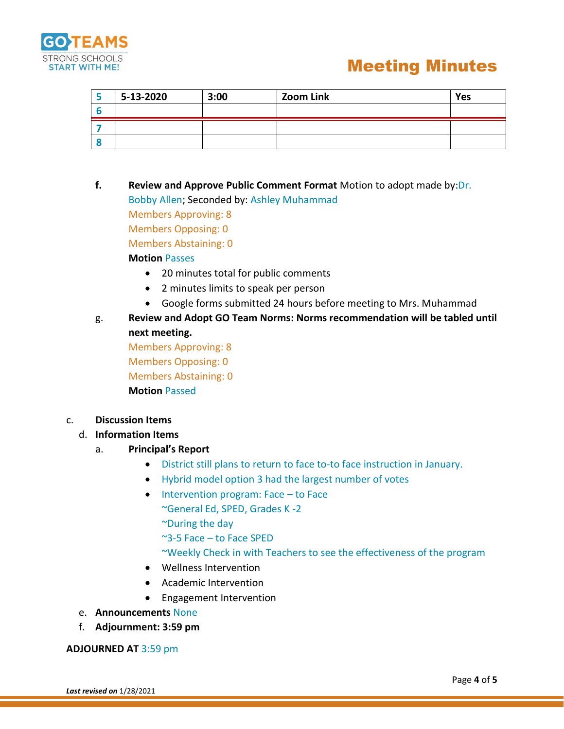

| $5 - 13 - 2020$ | 3:00 | <b>Zoom Link</b> | Yes |
|-----------------|------|------------------|-----|
|                 |      |                  |     |
|                 |      |                  |     |
|                 |      |                  |     |

- **f. Review and Approve Public Comment Format** Motion to adopt made by:Dr. Bobby Allen; Seconded by: Ashley Muhammad Members Approving: 8 Members Opposing: 0 Members Abstaining: 0 **Motion** Passes
	- 20 minutes total for public comments
	- 2 minutes limits to speak per person
	- Google forms submitted 24 hours before meeting to Mrs. Muhammad

### g. **Review and Adopt GO Team Norms: Norms recommendation will be tabled until next meeting.**

Members Approving: 8 Members Opposing: 0 Members Abstaining: 0 **Motion** Passed

#### c. **Discussion Items**

#### d. **Information Items**

- a. **Principal's Report** 
	- District still plans to return to face to-to face instruction in January.
	- Hybrid model option 3 had the largest number of votes
	- Intervention program: Face to Face ~General Ed, SPED, Grades K -2 ~During the day
		- ~3-5 Face to Face SPED
		- ~Weekly Check in with Teachers to see the effectiveness of the program
	- Wellness Intervention
	- Academic Intervention
	- Engagement Intervention
- e. **Announcements** None
- f. **Adjournment: 3:59 pm**

#### **ADJOURNED AT** 3:59 pm